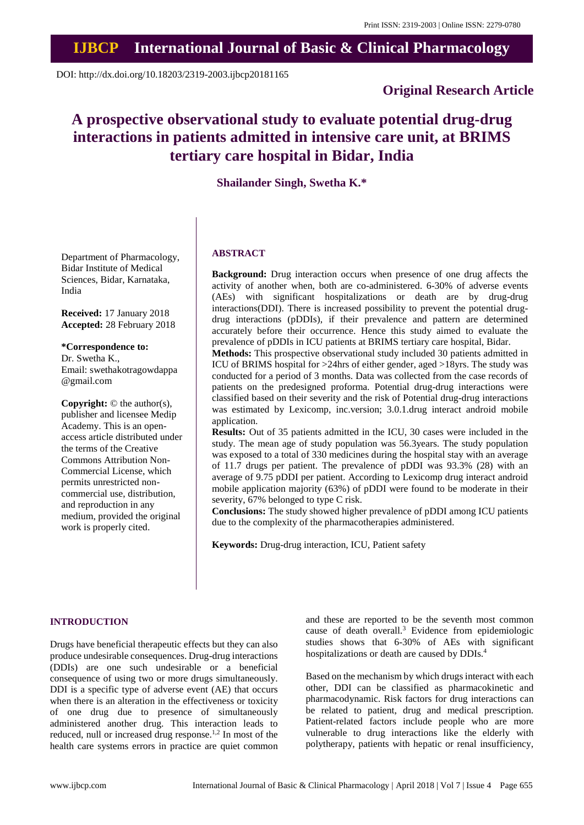## **IJBCP International Journal of Basic & Clinical Pharmacology**

DOI: http://dx.doi.org/10.18203/2319-2003.ijbcp20181165

## **Original Research Article**

# **A prospective observational study to evaluate potential drug-drug interactions in patients admitted in intensive care unit, at BRIMS tertiary care hospital in Bidar, India**

## **Shailander Singh, Swetha K.\***

Department of Pharmacology, Bidar Institute of Medical Sciences, Bidar, Karnataka, India

**Received:** 17 January 2018 **Accepted:** 28 February 2018

## **\*Correspondence to:**

Dr. Swetha K., Email: swethakotragowdappa @gmail.com

**Copyright:** © the author(s), publisher and licensee Medip Academy. This is an openaccess article distributed under the terms of the Creative Commons Attribution Non-Commercial License, which permits unrestricted noncommercial use, distribution, and reproduction in any medium, provided the original work is properly cited.

## **ABSTRACT**

**Background:** Drug interaction occurs when presence of one drug affects the activity of another when, both are co-administered. 6-30% of adverse events (AEs) with significant hospitalizations or death are by drug-drug interactions(DDI). There is increased possibility to prevent the potential drugdrug interactions (pDDIs), if their prevalence and pattern are determined accurately before their occurrence. Hence this study aimed to evaluate the prevalence of pDDIs in ICU patients at BRIMS tertiary care hospital, Bidar.

**Methods:** This prospective observational study included 30 patients admitted in ICU of BRIMS hospital for >24hrs of either gender, aged >18yrs. The study was conducted for a period of 3 months. Data was collected from the case records of patients on the predesigned proforma. Potential drug-drug interactions were classified based on their severity and the risk of Potential drug-drug interactions was estimated by Lexicomp, inc.version; 3.0.1.drug interact android mobile application.

**Results:** Out of 35 patients admitted in the ICU, 30 cases were included in the study. The mean age of study population was 56.3years. The study population was exposed to a total of 330 medicines during the hospital stay with an average of 11.7 drugs per patient. The prevalence of pDDI was 93.3% (28) with an average of 9.75 pDDI per patient. According to Lexicomp drug interact android mobile application majority (63%) of pDDI were found to be moderate in their severity, 67% belonged to type C risk.

**Conclusions:** The study showed higher prevalence of pDDI among ICU patients due to the complexity of the pharmacotherapies administered.

**Keywords:** Drug-drug interaction, ICU, Patient safety

#### **INTRODUCTION**

Drugs have beneficial therapeutic effects but they can also produce undesirable consequences. Drug-drug interactions (DDIs) are one such undesirable or a beneficial consequence of using two or more drugs simultaneously. DDI is a specific type of adverse event (AE) that occurs when there is an alteration in the effectiveness or toxicity of one drug due to presence of simultaneously administered another drug. This interaction leads to reduced, null or increased drug response.<sup>1,2</sup> In most of the health care systems errors in practice are quiet common and these are reported to be the seventh most common cause of death overall.<sup>3</sup> Evidence from epidemiologic studies shows that 6-30% of AEs with significant hospitalizations or death are caused by DDIs.<sup>4</sup>

Based on the mechanism by which drugs interact with each other, DDI can be classified as pharmacokinetic and pharmacodynamic. Risk factors for drug interactions can be related to patient, drug and medical prescription. Patient-related factors include people who are more vulnerable to drug interactions like the elderly with polytherapy, patients with hepatic or renal insufficiency,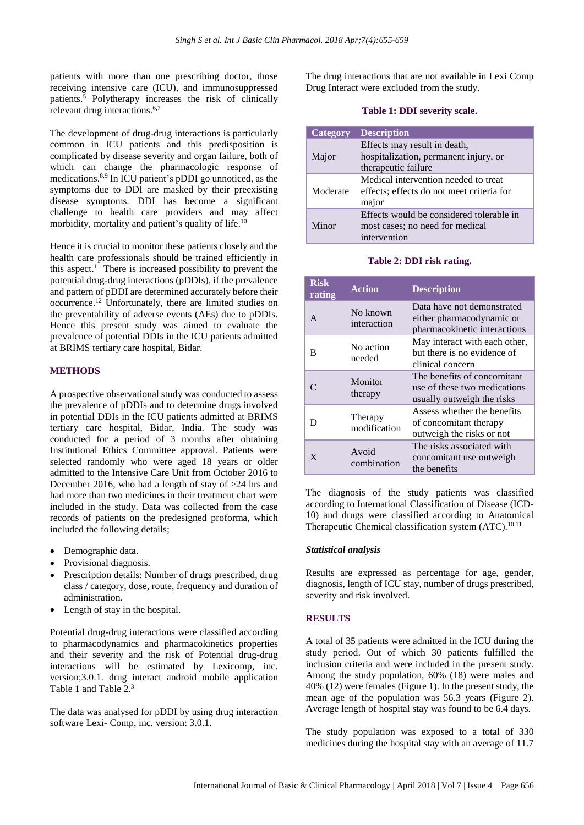patients with more than one prescribing doctor, those receiving intensive care (ICU), and immunosuppressed patients.<sup>5</sup> Polytherapy increases the risk of clinically relevant drug interactions.6,7

The development of drug-drug interactions is particularly common in ICU patients and this predisposition is complicated by disease severity and organ failure, both of which can change the pharmacologic response of medications.8,9 In ICU patient's pDDI go unnoticed, as the symptoms due to DDI are masked by their preexisting disease symptoms. DDI has become a significant challenge to health care providers and may affect morbidity, mortality and patient's quality of life.<sup>10</sup>

Hence it is crucial to monitor these patients closely and the health care professionals should be trained efficiently in this aspect.<sup>11</sup> There is increased possibility to prevent the potential drug-drug interactions (pDDIs), if the prevalence and pattern of pDDI are determined accurately before their occurrence.<sup>12</sup> Unfortunately, there are limited studies on the preventability of adverse events (AEs) due to pDDIs. Hence this present study was aimed to evaluate the prevalence of potential DDIs in the ICU patients admitted at BRIMS tertiary care hospital, Bidar.

#### **METHODS**

A prospective observational study was conducted to assess the prevalence of pDDIs and to determine drugs involved in potential DDIs in the ICU patients admitted at BRIMS tertiary care hospital, Bidar, India. The study was conducted for a period of 3 months after obtaining Institutional Ethics Committee approval. Patients were selected randomly who were aged 18 years or older admitted to the Intensive Care Unit from October 2016 to December 2016, who had a length of stay of  $>24$  hrs and had more than two medicines in their treatment chart were included in the study. Data was collected from the case records of patients on the predesigned proforma, which included the following details;

- Demographic data.
- Provisional diagnosis.
- Prescription details: Number of drugs prescribed, drug class / category, dose, route, frequency and duration of administration.
- Length of stay in the hospital.

Potential drug-drug interactions were classified according to pharmacodynamics and pharmacokinetics properties and their severity and the risk of Potential drug-drug interactions will be estimated by Lexicomp, inc. version;3.0.1. drug interact android mobile application Table 1 and Table 2. 3

The data was analysed for pDDI by using drug interaction software Lexi- Comp, inc. version: 3.0.1.

The drug interactions that are not available in Lexi Comp Drug Interact were excluded from the study.

#### **Table 1: DDI severity scale.**

| Category | <b>Description</b>                        |
|----------|-------------------------------------------|
|          | Effects may result in death,              |
| Major    | hospitalization, permanent injury, or     |
|          | therapeutic failure                       |
| Moderate | Medical intervention needed to treat      |
|          | effects; effects do not meet criteria for |
|          | major                                     |
| Minor    | Effects would be considered tolerable in  |
|          | most cases; no need for medical           |
|          | intervention                              |

#### **Table 2: DDI risk rating.**

| <b>Risk</b><br>rating | <b>Action</b>           | <b>Description</b>                                                                        |  |  |  |
|-----------------------|-------------------------|-------------------------------------------------------------------------------------------|--|--|--|
| A                     | No known<br>interaction | Data have not demonstrated<br>either pharmacodynamic or<br>pharmacokinetic interactions   |  |  |  |
| B                     | No action<br>needed     | May interact with each other,<br>but there is no evidence of<br>clinical concern          |  |  |  |
|                       | Monitor<br>therapy      | The benefits of concomitant<br>use of these two medications<br>usually outweigh the risks |  |  |  |
| D                     | Therapy<br>modification | Assess whether the benefits<br>of concomitant therapy<br>outweigh the risks or not        |  |  |  |
| X                     | Avoid<br>combination    | The risks associated with<br>concomitant use outweigh.<br>the benefits                    |  |  |  |

The diagnosis of the study patients was classified according to International Classification of Disease (ICD-10) and drugs were classified according to Anatomical Therapeutic Chemical classification system  $(ATC)^{10,11}$ .

#### *Statistical analysis*

Results are expressed as percentage for age, gender, diagnosis, length of ICU stay, number of drugs prescribed, severity and risk involved.

#### **RESULTS**

A total of 35 patients were admitted in the ICU during the study period. Out of which 30 patients fulfilled the inclusion criteria and were included in the present study. Among the study population, 60% (18) were males and 40% (12) were females (Figure 1). In the present study, the mean age of the population was 56.3 years (Figure 2). Average length of hospital stay was found to be 6.4 days.

The study population was exposed to a total of 330 medicines during the hospital stay with an average of 11.7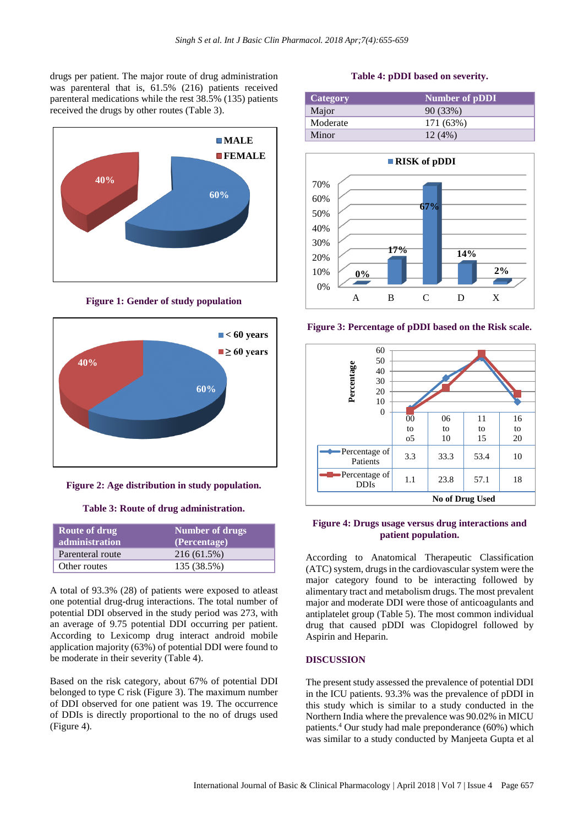drugs per patient. The major route of drug administration was parenteral that is, 61.5% (216) patients received parenteral medications while the rest 38.5% (135) patients received the drugs by other routes (Table 3).



**Figure 1: Gender of study population**



**Figure 2: Age distribution in study population.**

## **Table 3: Route of drug administration.**

| <b>Route of drug</b><br>administration | <b>Number of drugs</b><br>(Percentage) |
|----------------------------------------|----------------------------------------|
| Parenteral route                       | 216 (61.5%)                            |
| Other routes                           | 135 (38.5%)                            |

A total of 93.3% (28) of patients were exposed to atleast one potential drug-drug interactions. The total number of potential DDI observed in the study period was 273, with an average of 9.75 potential DDI occurring per patient. According to Lexicomp drug interact android mobile application majority (63%) of potential DDI were found to be moderate in their severity (Table 4).

Based on the risk category, about 67% of potential DDI belonged to type C risk (Figure 3). The maximum number of DDI observed for one patient was 19. The occurrence of DDIs is directly proportional to the no of drugs used (Figure 4).

#### **Table 4: pDDI based on severity.**

| Category | <b>Number of pDDI</b> |
|----------|-----------------------|
| Major    | 90(33%)               |
| Moderate | 171 (63%)             |
| Minor    | 12(4%)                |



**Figure 3: Percentage of pDDI based on the Risk scale.**



#### **Figure 4: Drugs usage versus drug interactions and patient population.**

According to Anatomical Therapeutic Classification (ATC) system, drugs in the cardiovascular system were the major category found to be interacting followed by alimentary tract and metabolism drugs. The most prevalent major and moderate DDI were those of anticoagulants and antiplatelet group (Table 5). The most common individual drug that caused pDDI was Clopidogrel followed by Aspirin and Heparin.

#### **DISCUSSION**

The present study assessed the prevalence of potential DDI in the ICU patients. 93.3% was the prevalence of pDDI in this study which is similar to a study conducted in the Northern India where the prevalence was 90.02% in MICU patients.<sup>4</sup> Our study had male preponderance (60%) which was similar to a study conducted by Manjeeta Gupta et al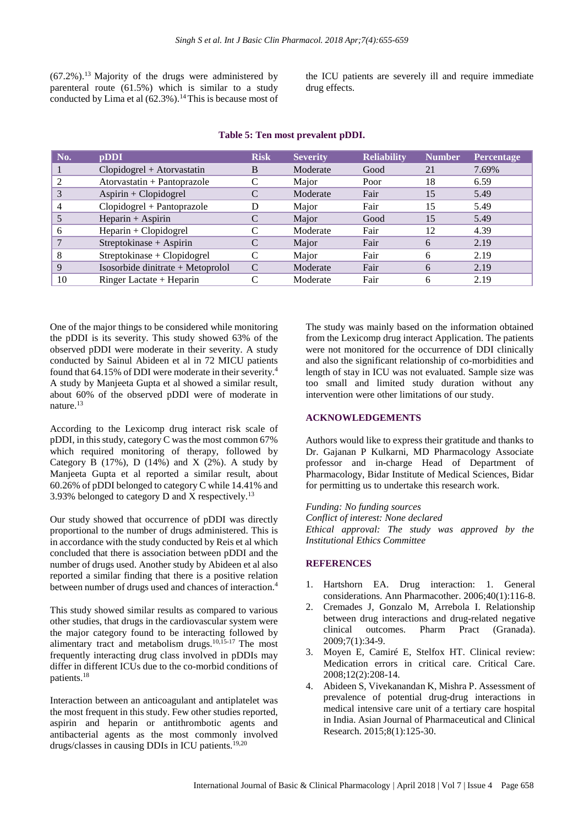$(67.2\%)$ .<sup>13</sup> Majority of the drugs were administered by parenteral route (61.5%) which is similar to a study conducted by Lima et al  $(62.3\%)$ .<sup>14</sup>This is because most of

the ICU patients are severely ill and require immediate drug effects.

| No. | pDDI                              | <b>Risk</b> | <b>Severity</b> | <b>Reliability</b> | <b>Number</b> | Percentage |
|-----|-----------------------------------|-------------|-----------------|--------------------|---------------|------------|
|     | $Clopidogrel + Atorvastatin$      | B           | Moderate        | Good               | 21            | 7.69%      |
|     | Atorvastatin + Pantoprazole       |             | Major           | Poor               | 18            | 6.59       |
| 3   | Aspirin + Clopidogrel             |             | Moderate        | Fair               | 15            | 5.49       |
|     | $Clopidogrel + Pantoprazole$      |             | Major           | Fair               | 15            | 5.49       |
|     | $Heparin + Aspirin$               |             | Major           | Good               | 15            | 5.49       |
| h   | $Heparin + Clopidogrel$           |             | Moderate        | Fair               | 12            | 4.39       |
|     | Streptokinase + Aspirin           |             | Major           | Fair               | 6             | 2.19       |
| 8   | Streptokinase + Clopidogrel       | С           | Major           | Fair               | 6             | 2.19       |
| 9   | Isosorbide dinitrate + Metoprolol | C           | Moderate        | Fair               | 6             | 2.19       |
| 10  | Ringer Lactate $+$ Heparin        |             | Moderate        | Fair               | 6             | 2.19       |

#### **Table 5: Ten most prevalent pDDI.**

One of the major things to be considered while monitoring the pDDI is its severity. This study showed 63% of the observed pDDI were moderate in their severity. A study conducted by Sainul Abideen et al in 72 MICU patients found that 64.15% of DDI were moderate in their severity.<sup>4</sup> A study by Manjeeta Gupta et al showed a similar result, about 60% of the observed pDDI were of moderate in nature.<sup>13</sup>

According to the Lexicomp drug interact risk scale of pDDI, in this study, category C was the most common  $67\%$ which required monitoring of therapy, followed by Category B  $(17\%)$ , D  $(14\%)$  and X  $(2\%)$ . A study by Manjeeta Gupta et al reported a similar result, about 60.26% of pDDI belonged to category C while 14.41% and 3.93% belonged to category D and X respectively.<sup>13</sup>

Our study showed that occurrence of pDDI was directly proportional to the number of drugs administered. This is in accordance with the study conducted by Reis et al which concluded that there is association between pDDI and the number of drugs used. Another study by Abideen et al also reported a similar finding that there is a positive relation between number of drugs used and chances of interaction.<sup>4</sup>

This study showed similar results as compared to various other studies, that drugs in the cardiovascular system were the major category found to be interacting followed by alimentary tract and metabolism drugs. $10,15$ -17 The most frequently interacting drug class involved in pDDIs may differ in different ICUs due to the co-morbid conditions of patients.<sup>18</sup>

Interaction between an anticoagulant and antiplatelet was the most frequent in this study. Few other studies reported, aspirin and heparin or antithrombotic agents and antibacterial agents as the most commonly involved drugs/classes in causing DDIs in ICU patients.19,20

The study was mainly based on the information obtained from the Lexicomp drug interact Application. The patients were not monitored for the occurrence of DDI clinically and also the significant relationship of co-morbidities and length of stay in ICU was not evaluated. Sample size was too small and limited study duration without any intervention were other limitations of our study.

#### **ACKNOWLEDGEMENTS**

Authors would like to express their gratitude and thanks to Dr. Gajanan P Kulkarni, MD Pharmacology Associate professor and in-charge Head of Department of Pharmacology, Bidar Institute of Medical Sciences, Bidar for permitting us to undertake this research work.

*Funding: No funding sources Conflict of interest: None declared Ethical approval: The study was approved by the Institutional Ethics Committee*

#### **REFERENCES**

- 1. Hartshorn EA. Drug interaction: 1. General considerations. Ann Pharmacother. 2006;40(1):116-8.
- 2. Cremades J, Gonzalo M, Arrebola I. Relationship between drug interactions and drug-related negative clinical outcomes. Pharm Pract (Granada). 2009;7(1):34-9.
- 3. Moyen E, Camiré E, Stelfox HT. Clinical review: Medication errors in critical care. Critical Care. 2008;12(2):208-14.
- 4. Abideen S, Vivekanandan K, Mishra P. Assessment of prevalence of potential drug-drug interactions in medical intensive care unit of a tertiary care hospital in India. Asian Journal of Pharmaceutical and Clinical Research. 2015;8(1):125-30.